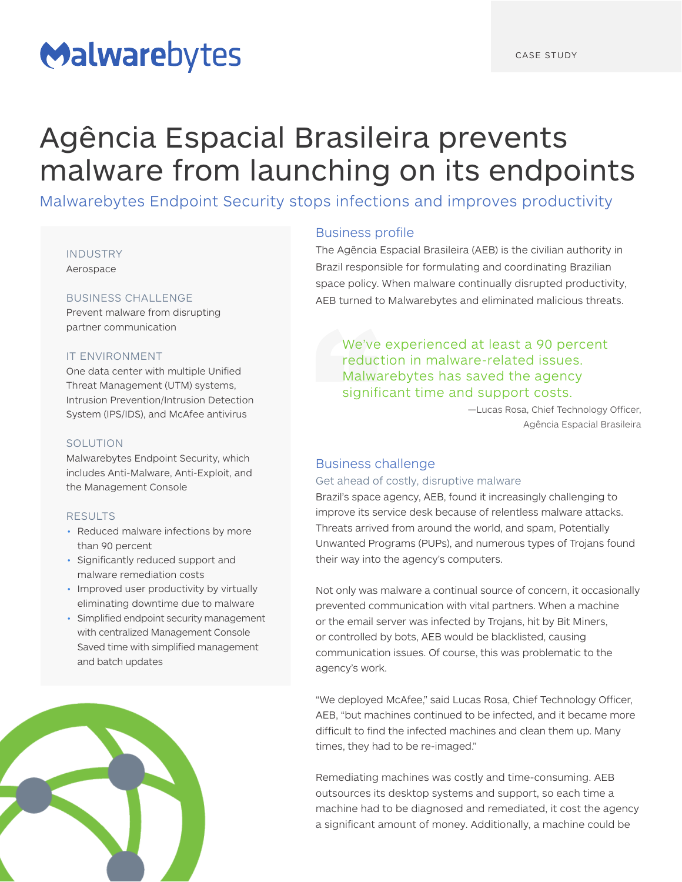# Malwarebytes

## Agência Espacial Brasileira prevents malware from launching on its endpoints

Malwarebytes Endpoint Security stops infections and improves productivity

#### INDUSTRY

Aerospace

## BUSINESS CHALLENGE

Prevent malware from disrupting partner communication

## IT ENVIRONMENT

One data center with multiple Unified Threat Management (UTM) systems, Intrusion Prevention/Intrusion Detection System (IPS/IDS), and McAfee antivirus

### SOLUTION

Malwarebytes Endpoint Security, which includes Anti-Malware, Anti-Exploit, and the Management Console

#### RESULTS

- Reduced malware infections by more than 90 percent
- Significantly reduced support and malware remediation costs
- Improved user productivity by virtually eliminating downtime due to malware
- Simplified endpoint security management with centralized Management Console Saved time with simplified management and batch updates



## Business profile

The Agência Espacial Brasileira (AEB) is the civilian authority in Brazil responsible for formulating and coordinating Brazilian space policy. When malware continually disrupted productivity, AEB turned to Malwarebytes and eliminated malicious threats.

## We've experienced at least a 90 percent reduction in malware-related issues. Malwarebytes has saved the agency significant time and support costs.

—Lucas Rosa, Chief Technology Officer, Agência Espacial Brasileira

## Business challenge

### Get ahead of costly, disruptive malware

Brazil's space agency, AEB, found it increasingly challenging to improve its service desk because of relentless malware attacks. Threats arrived from around the world, and spam, Potentially Unwanted Programs (PUPs), and numerous types of Trojans found their way into the agency's computers.

Not only was malware a continual source of concern, it occasionally prevented communication with vital partners. When a machine or the email server was infected by Trojans, hit by Bit Miners, or controlled by bots, AEB would be blacklisted, causing communication issues. Of course, this was problematic to the agency's work.

"We deployed McAfee," said Lucas Rosa, Chief Technology Officer, AEB, "but machines continued to be infected, and it became more difficult to find the infected machines and clean them up. Many times, they had to be re-imaged."

Remediating machines was costly and time-consuming. AEB outsources its desktop systems and support, so each time a machine had to be diagnosed and remediated, it cost the agency a significant amount of money. Additionally, a machine could be